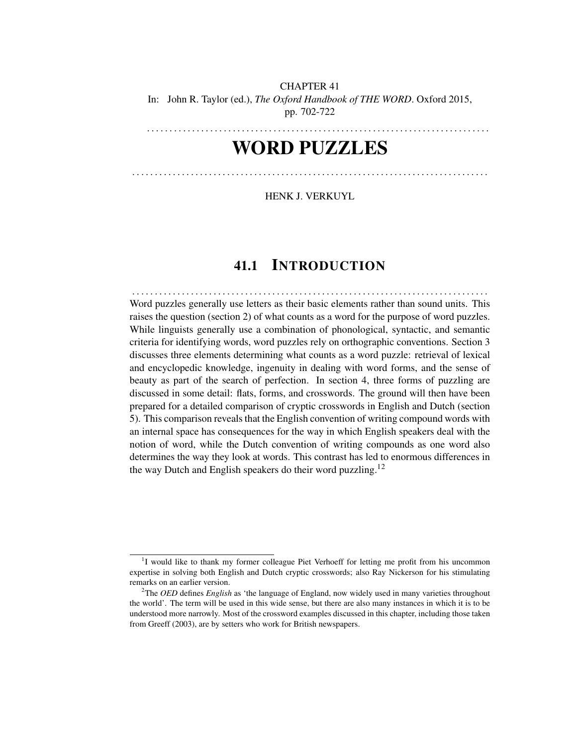#### CHAPTER 41 In: John R. Taylor (ed.), *The Oxford Handbook of THE WORD*. Oxford 2015, pp. 702-722

. . . . . . . . . . . . . . . . . . . . . . . . . . . . . . . . . . . . . . . . . . . . . . . . . . . . . . . . . . . . . . . . . . . . . . . . . . . .

# WORD PUZZLES

. . . . . . . . . . . . . . . . . . . . . . . . . . . . . . . . . . . . . . . . . . . . . . . . . . . . . . . . . . . . . . . . . . . . . . . . . . . . . . .

HENK J. VERKUYL

### 41.1 INTRODUCTION

. . . . . . . . . . . . . . . . . . . . . . . . . . . . . . . . . . . . . . . . . . . . . . . . . . . . . . . . . . . . . . . . . . . . . . . . . . . . . . . Word puzzles generally use letters as their basic elements rather than sound units. This raises the question (section 2) of what counts as a word for the purpose of word puzzles. While linguists generally use a combination of phonological, syntactic, and semantic criteria for identifying words, word puzzles rely on orthographic conventions. Section 3 discusses three elements determining what counts as a word puzzle: retrieval of lexical and encyclopedic knowledge, ingenuity in dealing with word forms, and the sense of beauty as part of the search of perfection. In section 4, three forms of puzzling are discussed in some detail: flats, forms, and crosswords. The ground will then have been prepared for a detailed comparison of cryptic crosswords in English and Dutch (section 5). This comparison reveals that the English convention of writing compound words with an internal space has consequences for the way in which English speakers deal with the notion of word, while the Dutch convention of writing compounds as one word also determines the way they look at words. This contrast has led to enormous differences in the way Dutch and English speakers do their word puzzling.<sup>12</sup>

<sup>&</sup>lt;sup>1</sup>I would like to thank my former colleague Piet Verhoeff for letting me profit from his uncommon expertise in solving both English and Dutch cryptic crosswords; also Ray Nickerson for his stimulating remarks on an earlier version.

<sup>2</sup>The *OED* defines *English* as 'the language of England, now widely used in many varieties throughout the world'. The term will be used in this wide sense, but there are also many instances in which it is to be understood more narrowly. Most of the crossword examples discussed in this chapter, including those taken from Greeff (2003), are by setters who work for British newspapers.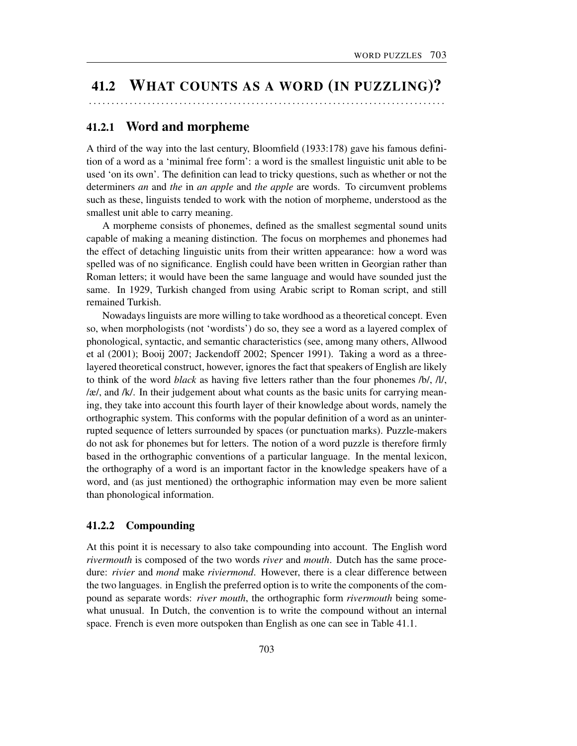# 41.2 WHAT COUNTS AS A WORD (IN PUZZLING)?

. . . . . . . . . . . . . . . . . . . . . . . . . . . . . . . . . . . . . . . . . . . . . . . . . . . . . . . . . . . . . . . . . . . . . . . . . . . . . . .

### 41.2.1 Word and morpheme

A third of the way into the last century, Bloomfield (1933:178) gave his famous definition of a word as a 'minimal free form': a word is the smallest linguistic unit able to be used 'on its own'. The definition can lead to tricky questions, such as whether or not the determiners *an* and *the* in *an apple* and *the apple* are words. To circumvent problems such as these, linguists tended to work with the notion of morpheme, understood as the smallest unit able to carry meaning.

A morpheme consists of phonemes, defined as the smallest segmental sound units capable of making a meaning distinction. The focus on morphemes and phonemes had the effect of detaching linguistic units from their written appearance: how a word was spelled was of no significance. English could have been written in Georgian rather than Roman letters; it would have been the same language and would have sounded just the same. In 1929, Turkish changed from using Arabic script to Roman script, and still remained Turkish.

Nowadays linguists are more willing to take wordhood as a theoretical concept. Even so, when morphologists (not 'wordists') do so, they see a word as a layered complex of phonological, syntactic, and semantic characteristics (see, among many others, Allwood et al (2001); Booij 2007; Jackendoff 2002; Spencer 1991). Taking a word as a threelayered theoretical construct, however, ignores the fact that speakers of English are likely to think of the word *black* as having five letters rather than the four phonemes /b/, /l/, /æ/, and /k/. In their judgement about what counts as the basic units for carrying meaning, they take into account this fourth layer of their knowledge about words, namely the orthographic system. This conforms with the popular definition of a word as an uninterrupted sequence of letters surrounded by spaces (or punctuation marks). Puzzle-makers do not ask for phonemes but for letters. The notion of a word puzzle is therefore firmly based in the orthographic conventions of a particular language. In the mental lexicon, the orthography of a word is an important factor in the knowledge speakers have of a word, and (as just mentioned) the orthographic information may even be more salient than phonological information.

#### 41.2.2 Compounding

At this point it is necessary to also take compounding into account. The English word *rivermouth* is composed of the two words *river* and *mouth*. Dutch has the same procedure: *rivier* and *mond* make *riviermond*. However, there is a clear difference between the two languages. in English the preferred option is to write the components of the compound as separate words: *river mouth*, the orthographic form *rivermouth* being somewhat unusual. In Dutch, the convention is to write the compound without an internal space. French is even more outspoken than English as one can see in Table 41.1.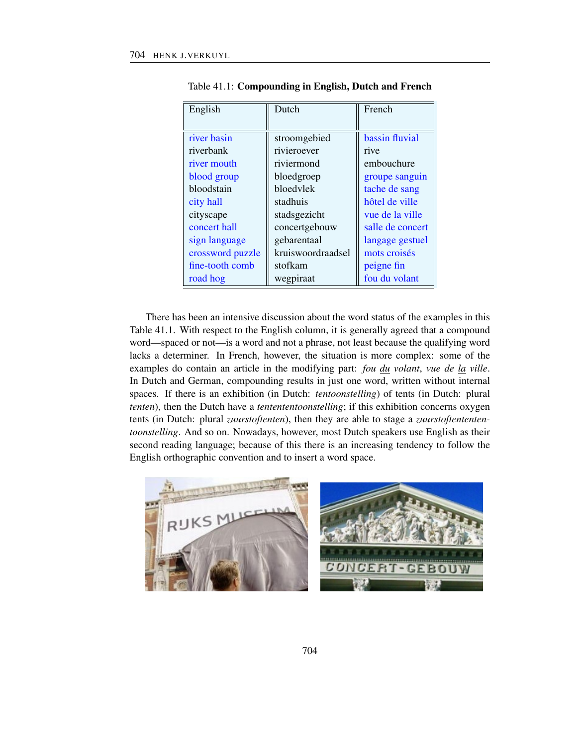| English          | Dutch             | French           |  |  |
|------------------|-------------------|------------------|--|--|
|                  |                   |                  |  |  |
| river basin      | stroomgebied      | bassin fluvial   |  |  |
| riverbank        | rivieroever       | rive             |  |  |
| river mouth      | riviermond        | embouchure       |  |  |
| blood group      | bloedgroep        | groupe sanguin   |  |  |
| bloodstain       | bloedvlek         | tache de sang    |  |  |
| city hall        | stadhuis          | hôtel de ville   |  |  |
| cityscape        | stadsgezicht      | vue de la ville  |  |  |
| concert hall     | concertgebouw     | salle de concert |  |  |
| sign language    | gebarentaal       | langage gestuel  |  |  |
| crossword puzzle | kruiswoordraadsel | mots croisés     |  |  |
| fine-tooth comb  | stofkam           | peigne fin       |  |  |
| road hog         | wegpiraat         | fou du volant    |  |  |

Table 41.1: Compounding in English, Dutch and French

There has been an intensive discussion about the word status of the examples in this Table 41.1. With respect to the English column, it is generally agreed that a compound word—spaced or not—is a word and not a phrase, not least because the qualifying word lacks a determiner. In French, however, the situation is more complex: some of the examples do contain an article in the modifying part: *fou du volant*, *vue de la ville*. In Dutch and German, compounding results in just one word, written without internal spaces. If there is an exhibition (in Dutch: *tentoonstelling*) of tents (in Dutch: plural *tenten*), then the Dutch have a *tentententoonstelling*; if this exhibition concerns oxygen tents (in Dutch: plural *zuurstoftenten*), then they are able to stage a *zuurstoftentententoonstelling*. And so on. Nowadays, however, most Dutch speakers use English as their second reading language; because of this there is an increasing tendency to follow the English orthographic convention and to insert a word space.

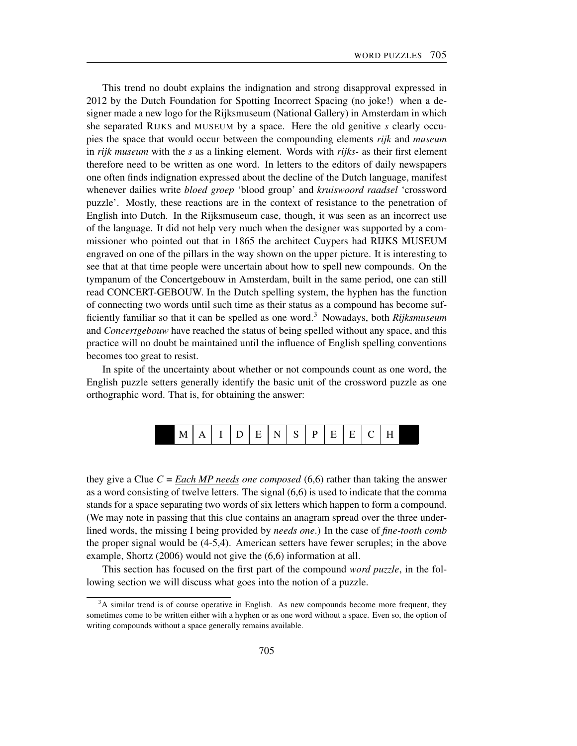This trend no doubt explains the indignation and strong disapproval expressed in 2012 by the Dutch Foundation for Spotting Incorrect Spacing (no joke!) when a designer made a new logo for the Rijksmuseum (National Gallery) in Amsterdam in which she separated RIJKS and MUSEUM by a space. Here the old genitive *s* clearly occupies the space that would occur between the compounding elements *rijk* and *museum* in *rijk museum* with the *s* as a linking element. Words with *rijks-* as their first element therefore need to be written as one word. In letters to the editors of daily newspapers one often finds indignation expressed about the decline of the Dutch language, manifest whenever dailies write *bloed groep* 'blood group' and *kruiswoord raadsel* 'crossword puzzle'. Mostly, these reactions are in the context of resistance to the penetration of English into Dutch. In the Rijksmuseum case, though, it was seen as an incorrect use of the language. It did not help very much when the designer was supported by a commissioner who pointed out that in 1865 the architect Cuypers had RIJKS MUSEUM engraved on one of the pillars in the way shown on the upper picture. It is interesting to see that at that time people were uncertain about how to spell new compounds. On the tympanum of the Concertgebouw in Amsterdam, built in the same period, one can still read CONCERT-GEBOUW. In the Dutch spelling system, the hyphen has the function of connecting two words until such time as their status as a compound has become sufficiently familiar so that it can be spelled as one word.<sup>3</sup> Nowadays, both *Rijksmuseum* and *Concertgebouw* have reached the status of being spelled without any space, and this practice will no doubt be maintained until the influence of English spelling conventions becomes too great to resist.

In spite of the uncertainty about whether or not compounds count as one word, the English puzzle setters generally identify the basic unit of the crossword puzzle as one orthographic word. That is, for obtaining the answer:



they give a Clue  $C = Each MP$  needs one composed (6,6) rather than taking the answer as a word consisting of twelve letters. The signal (6,6) is used to indicate that the comma stands for a space separating two words of six letters which happen to form a compound. (We may note in passing that this clue contains an anagram spread over the three underlined words, the missing I being provided by *needs one*.) In the case of *fine-tooth comb* the proper signal would be (4-5,4). American setters have fewer scruples; in the above example, Shortz (2006) would not give the (6,6) information at all.

This section has focused on the first part of the compound *word puzzle*, in the following section we will discuss what goes into the notion of a puzzle.

 $3A$  similar trend is of course operative in English. As new compounds become more frequent, they sometimes come to be written either with a hyphen or as one word without a space. Even so, the option of writing compounds without a space generally remains available.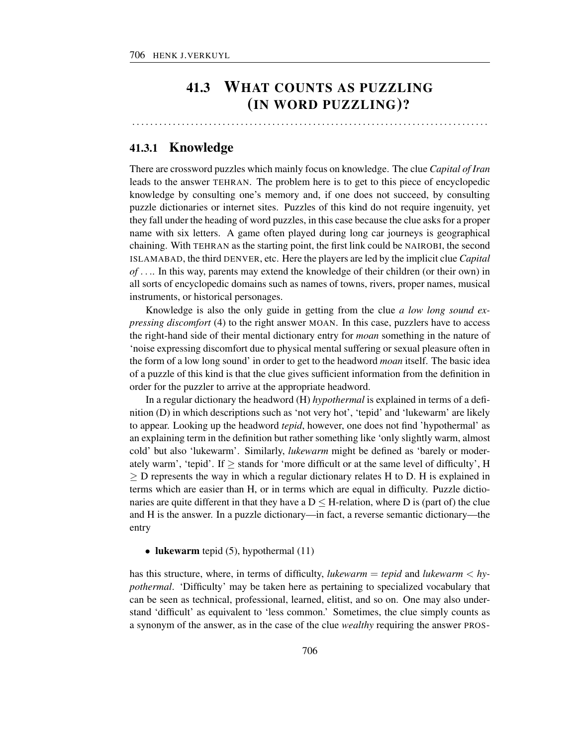# 41.3 WHAT COUNTS AS PUZZLING (IN WORD PUZZLING)?

. . . . . . . . . . . . . . . . . . . . . . . . . . . . . . . . . . . . . . . . . . . . . . . . . . . . . . . . . . . . . . . . . . . . . . . . . . . . . . .

### 41.3.1 Knowledge

There are crossword puzzles which mainly focus on knowledge. The clue *Capital of Iran* leads to the answer TEHRAN. The problem here is to get to this piece of encyclopedic knowledge by consulting one's memory and, if one does not succeed, by consulting puzzle dictionaries or internet sites. Puzzles of this kind do not require ingenuity, yet they fall under the heading of word puzzles, in this case because the clue asks for a proper name with six letters. A game often played during long car journeys is geographical chaining. With TEHRAN as the starting point, the first link could be NAIROBI, the second ISLAMABAD, the third DENVER, etc. Here the players are led by the implicit clue *Capital of* . . .. In this way, parents may extend the knowledge of their children (or their own) in all sorts of encyclopedic domains such as names of towns, rivers, proper names, musical instruments, or historical personages.

Knowledge is also the only guide in getting from the clue *a low long sound expressing discomfort* (4) to the right answer MOAN. In this case, puzzlers have to access the right-hand side of their mental dictionary entry for *moan* something in the nature of 'noise expressing discomfort due to physical mental suffering or sexual pleasure often in the form of a low long sound' in order to get to the headword *moan* itself. The basic idea of a puzzle of this kind is that the clue gives sufficient information from the definition in order for the puzzler to arrive at the appropriate headword.

In a regular dictionary the headword (H) *hypothermal* is explained in terms of a definition (D) in which descriptions such as 'not very hot', 'tepid' and 'lukewarm' are likely to appear. Looking up the headword *tepid*, however, one does not find 'hypothermal' as an explaining term in the definition but rather something like 'only slightly warm, almost cold' but also 'lukewarm'. Similarly, *lukewarm* might be defined as 'barely or moderately warm', 'tepid'. If  $>$  stands for 'more difficult or at the same level of difficulty', H  $\geq$  D represents the way in which a regular dictionary relates H to D. H is explained in terms which are easier than H, or in terms which are equal in difficulty. Puzzle dictionaries are quite different in that they have a  $D \leq H$ -relation, where D is (part of) the clue and H is the answer. In a puzzle dictionary—in fact, a reverse semantic dictionary—the entry

#### • lukewarm tepid  $(5)$ , hypothermal  $(11)$

has this structure, where, in terms of difficulty, *lukewarm* = *tepid* and *lukewarm* < *hypothermal*. 'Difficulty' may be taken here as pertaining to specialized vocabulary that can be seen as technical, professional, learned, elitist, and so on. One may also understand 'difficult' as equivalent to 'less common.' Sometimes, the clue simply counts as a synonym of the answer, as in the case of the clue *wealthy* requiring the answer PROS-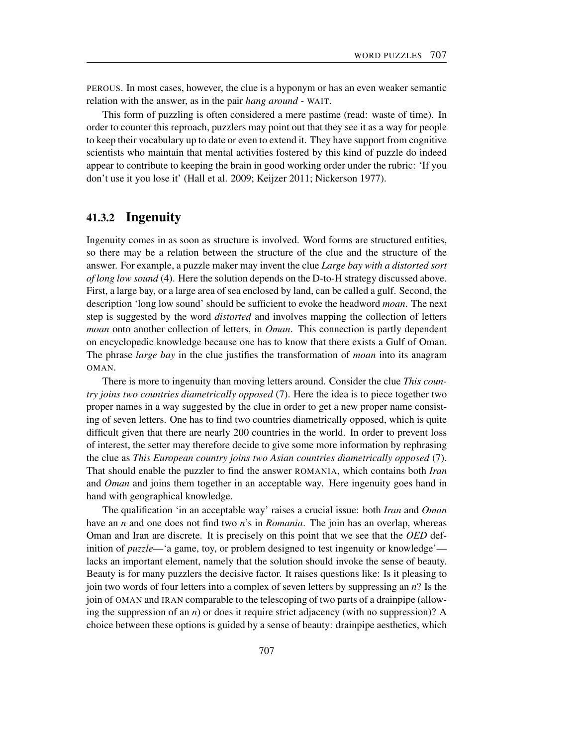PEROUS. In most cases, however, the clue is a hyponym or has an even weaker semantic relation with the answer, as in the pair *hang around* - WAIT.

This form of puzzling is often considered a mere pastime (read: waste of time). In order to counter this reproach, puzzlers may point out that they see it as a way for people to keep their vocabulary up to date or even to extend it. They have support from cognitive scientists who maintain that mental activities fostered by this kind of puzzle do indeed appear to contribute to keeping the brain in good working order under the rubric: 'If you don't use it you lose it' (Hall et al. 2009; Keijzer 2011; Nickerson 1977).

### 41.3.2 Ingenuity

Ingenuity comes in as soon as structure is involved. Word forms are structured entities, so there may be a relation between the structure of the clue and the structure of the answer. For example, a puzzle maker may invent the clue *Large bay with a distorted sort of long low sound* (4). Here the solution depends on the D-to-H strategy discussed above. First, a large bay, or a large area of sea enclosed by land, can be called a gulf. Second, the description 'long low sound' should be sufficient to evoke the headword *moan*. The next step is suggested by the word *distorted* and involves mapping the collection of letters *moan* onto another collection of letters, in *Oman*. This connection is partly dependent on encyclopedic knowledge because one has to know that there exists a Gulf of Oman. The phrase *large bay* in the clue justifies the transformation of *moan* into its anagram OMAN.

There is more to ingenuity than moving letters around. Consider the clue *This country joins two countries diametrically opposed* (7). Here the idea is to piece together two proper names in a way suggested by the clue in order to get a new proper name consisting of seven letters. One has to find two countries diametrically opposed, which is quite difficult given that there are nearly 200 countries in the world. In order to prevent loss of interest, the setter may therefore decide to give some more information by rephrasing the clue as *This European country joins two Asian countries diametrically opposed* (7). That should enable the puzzler to find the answer ROMANIA, which contains both *Iran* and *Oman* and joins them together in an acceptable way. Here ingenuity goes hand in hand with geographical knowledge.

The qualification 'in an acceptable way' raises a crucial issue: both *Iran* and *Oman* have an *n* and one does not find two *n*'s in *Romania*. The join has an overlap, whereas Oman and Iran are discrete. It is precisely on this point that we see that the *OED* definition of *puzzle*—'a game, toy, or problem designed to test ingenuity or knowledge' lacks an important element, namely that the solution should invoke the sense of beauty. Beauty is for many puzzlers the decisive factor. It raises questions like: Is it pleasing to join two words of four letters into a complex of seven letters by suppressing an *n*? Is the join of OMAN and IRAN comparable to the telescoping of two parts of a drainpipe (allowing the suppression of an *n*) or does it require strict adjacency (with no suppression)? A choice between these options is guided by a sense of beauty: drainpipe aesthetics, which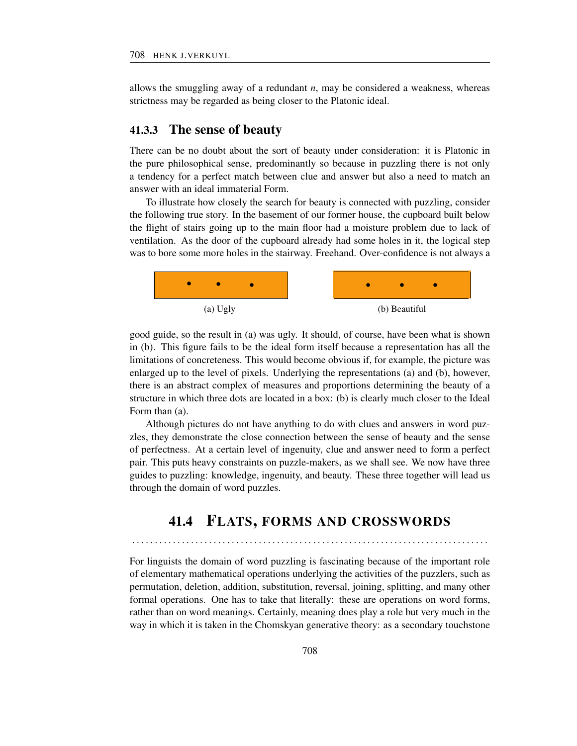allows the smuggling away of a redundant *n*, may be considered a weakness, whereas strictness may be regarded as being closer to the Platonic ideal.

### 41.3.3 The sense of beauty

There can be no doubt about the sort of beauty under consideration: it is Platonic in the pure philosophical sense, predominantly so because in puzzling there is not only a tendency for a perfect match between clue and answer but also a need to match an answer with an ideal immaterial Form.

To illustrate how closely the search for beauty is connected with puzzling, consider the following true story. In the basement of our former house, the cupboard built below the flight of stairs going up to the main floor had a moisture problem due to lack of ventilation. As the door of the cupboard already had some holes in it, the logical step was to bore some more holes in the stairway. Freehand. Over-confidence is not always a



good guide, so the result in (a) was ugly. It should, of course, have been what is shown in (b). This figure fails to be the ideal form itself because a representation has all the limitations of concreteness. This would become obvious if, for example, the picture was enlarged up to the level of pixels. Underlying the representations (a) and (b), however, there is an abstract complex of measures and proportions determining the beauty of a structure in which three dots are located in a box: (b) is clearly much closer to the Ideal Form than (a).

Although pictures do not have anything to do with clues and answers in word puzzles, they demonstrate the close connection between the sense of beauty and the sense of perfectness. At a certain level of ingenuity, clue and answer need to form a perfect pair. This puts heavy constraints on puzzle-makers, as we shall see. We now have three guides to puzzling: knowledge, ingenuity, and beauty. These three together will lead us through the domain of word puzzles.

### 41.4 FLATS, FORMS AND CROSSWORDS . . . . . . . . . . . . . . . . . . . . . . . . . . . . . . . . . . . . . . . . . . . . . . . . . . . . . . . . . . . . . . . . . . . . . . . . . . . . . . .

For linguists the domain of word puzzling is fascinating because of the important role of elementary mathematical operations underlying the activities of the puzzlers, such as permutation, deletion, addition, substitution, reversal, joining, splitting, and many other formal operations. One has to take that literally: these are operations on word forms, rather than on word meanings. Certainly, meaning does play a role but very much in the way in which it is taken in the Chomskyan generative theory: as a secondary touchstone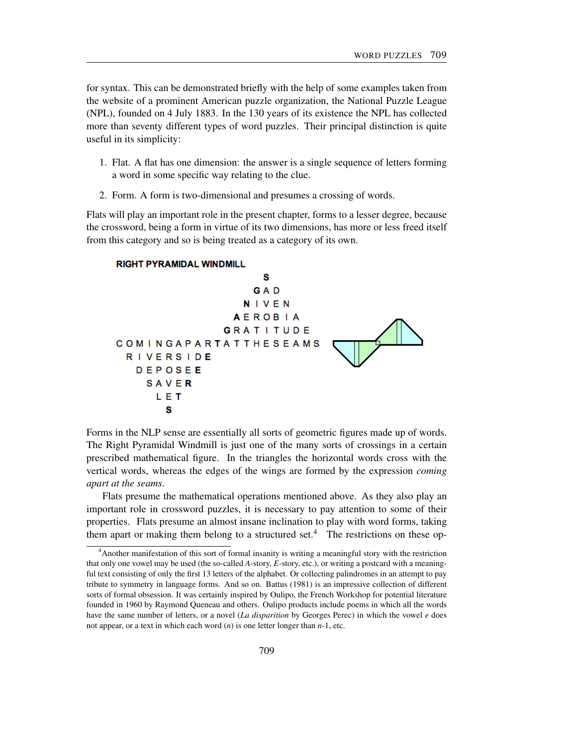for syntax. This can be demonstrated briefly with the help of some examples taken from the website of a prominent American puzzle organization, the National Puzzle League (NPL), founded on 4 July 1883. In the 130 years of its existence the NPL has collected more than seventy different types of word puzzles. Their principal distinction is quite useful in its simplicity:

- 1. Flat. A flat has one dimension: the answer is a single sequence of letters forming a word in some specific way relating to the clue.
- 2. Form. A form is two-dimensional and presumes a crossing of words.

Flats will play an important role in the present chapter, forms to a lesser degree, because the crossword, being a form in virtue of its two dimensions, has more or less freed itself from this category and so is being treated as a category of its own.



Forms in the NLP sense are essentially all sorts of geometric figures made up of words. The Right Pyramidal Windmill is just one of the many sorts of crossings in a certain prescribed mathematical figure. In the triangles the horizontal words cross with the vertical words, whereas the edges of the wings are formed by the expression *coming apart at the seams*.

Flats presume the mathematical operations mentioned above. As they also play an important role in crossword puzzles, it is necessary to pay attention to some of their properties. Flats presume an almost insane inclination to play with word forms, taking them apart or making them belong to a structured set.<sup>4</sup> The restrictions on these op-

<sup>&</sup>lt;sup>4</sup>Another manifestation of this sort of formal insanity is writing a meaningful story with the restriction that only one vowel may be used (the so-called *A*-story, *E*-story, etc.), or writing a postcard with a meaningful text consisting of only the first 13 letters of the alphabet. Or collecting palindromes in an attempt to pay tribute to symmetry in language forms. And so on. Battus (1981) is an impressive collection of different sorts of formal obsession. It was certainly inspired by Oulipo, the French Workshop for potential literature founded in 1960 by Raymond Queneau and others. Oulipo products include poems in which all the words have the same number of letters, or a novel (*La disparition* by Georges Perec) in which the vowel *e* does not appear, or a text in which each word (*n*) is one letter longer than *n*-1, etc.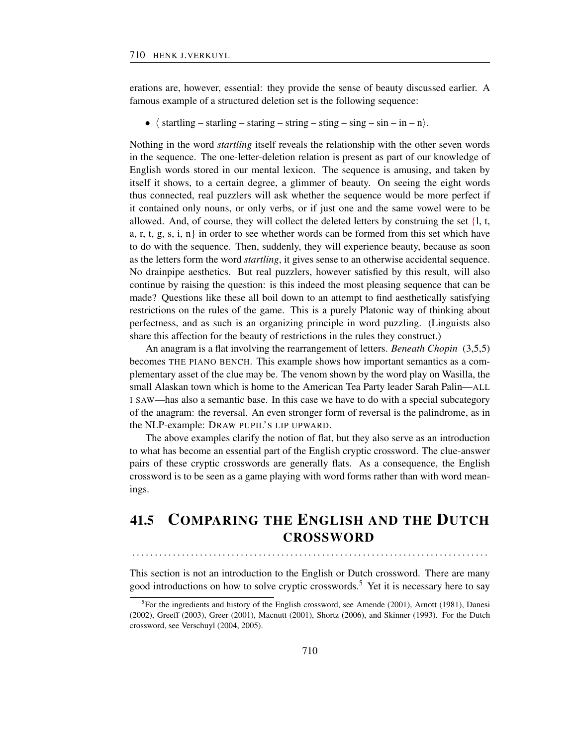erations are, however, essential: they provide the sense of beauty discussed earlier. A famous example of a structured deletion set is the following sequence:

•  $\langle$  startling – starling – staring – string – sting – sing – sin – in – n $\rangle$ .

Nothing in the word *startling* itself reveals the relationship with the other seven words in the sequence. The one-letter-deletion relation is present as part of our knowledge of English words stored in our mental lexicon. The sequence is amusing, and taken by itself it shows, to a certain degree, a glimmer of beauty. On seeing the eight words thus connected, real puzzlers will ask whether the sequence would be more perfect if it contained only nouns, or only verbs, or if just one and the same vowel were to be allowed. And, of course, they will collect the deleted letters by construing the set  $\{l, t, t\}$ a, r, t, g, s, i, n} in order to see whether words can be formed from this set which have to do with the sequence. Then, suddenly, they will experience beauty, because as soon as the letters form the word *startling*, it gives sense to an otherwise accidental sequence. No drainpipe aesthetics. But real puzzlers, however satisfied by this result, will also continue by raising the question: is this indeed the most pleasing sequence that can be made? Questions like these all boil down to an attempt to find aesthetically satisfying restrictions on the rules of the game. This is a purely Platonic way of thinking about perfectness, and as such is an organizing principle in word puzzling. (Linguists also share this affection for the beauty of restrictions in the rules they construct.)

An anagram is a flat involving the rearrangement of letters. *Beneath Chopin* (3,5,5) becomes THE PIANO BENCH. This example shows how important semantics as a complementary asset of the clue may be. The venom shown by the word play on Wasilla, the small Alaskan town which is home to the American Tea Party leader Sarah Palin—ALL I SAW—has also a semantic base. In this case we have to do with a special subcategory of the anagram: the reversal. An even stronger form of reversal is the palindrome, as in the NLP-example: DRAW PUPIL'S LIP UPWARD.

The above examples clarify the notion of flat, but they also serve as an introduction to what has become an essential part of the English cryptic crossword. The clue-answer pairs of these cryptic crosswords are generally flats. As a consequence, the English crossword is to be seen as a game playing with word forms rather than with word meanings.

# 41.5 COMPARING THE ENGLISH AND THE DUTCH CROSSWORD

. . . . . . . . . . . . . . . . . . . . . . . . . . . . . . . . . . . . . . . . . . . . . . . . . . . . . . . . . . . . . . . . . . . . . . . . . . . . . . .

This section is not an introduction to the English or Dutch crossword. There are many good introductions on how to solve cryptic crosswords.<sup>5</sup> Yet it is necessary here to say

<sup>&</sup>lt;sup>5</sup>For the ingredients and history of the English crossword, see Amende (2001), Arnott (1981), Danesi (2002), Greeff (2003), Greer (2001), Macnutt (2001), Shortz (2006), and Skinner (1993). For the Dutch crossword, see Verschuyl (2004, 2005).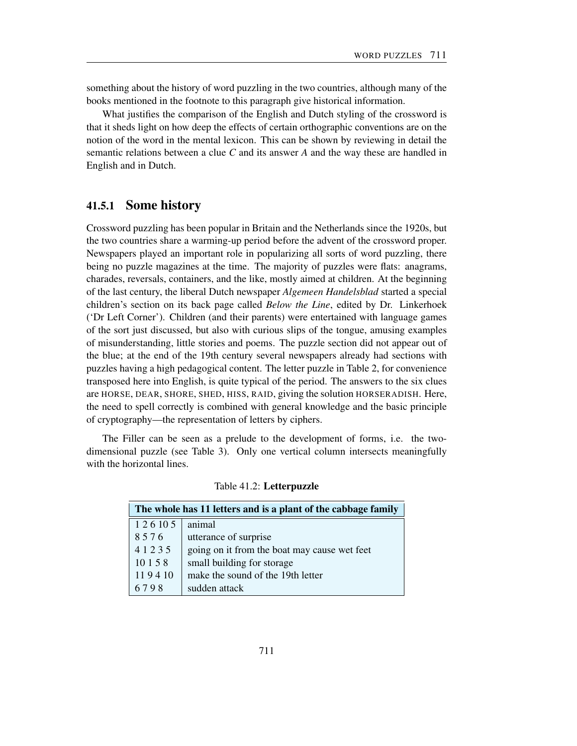something about the history of word puzzling in the two countries, although many of the books mentioned in the footnote to this paragraph give historical information.

What justifies the comparison of the English and Dutch styling of the crossword is that it sheds light on how deep the effects of certain orthographic conventions are on the notion of the word in the mental lexicon. This can be shown by reviewing in detail the semantic relations between a clue *C* and its answer *A* and the way these are handled in English and in Dutch.

### 41.5.1 Some history

Crossword puzzling has been popular in Britain and the Netherlands since the 1920s, but the two countries share a warming-up period before the advent of the crossword proper. Newspapers played an important role in popularizing all sorts of word puzzling, there being no puzzle magazines at the time. The majority of puzzles were flats: anagrams, charades, reversals, containers, and the like, mostly aimed at children. At the beginning of the last century, the liberal Dutch newspaper *Algemeen Handelsblad* started a special children's section on its back page called *Below the Line*, edited by Dr. Linkerhoek ('Dr Left Corner'). Children (and their parents) were entertained with language games of the sort just discussed, but also with curious slips of the tongue, amusing examples of misunderstanding, little stories and poems. The puzzle section did not appear out of the blue; at the end of the 19th century several newspapers already had sections with puzzles having a high pedagogical content. The letter puzzle in Table 2, for convenience transposed here into English, is quite typical of the period. The answers to the six clues are HORSE, DEAR, SHORE, SHED, HISS, RAID, giving the solution HORSERADISH. Here, the need to spell correctly is combined with general knowledge and the basic principle of cryptography—the representation of letters by ciphers.

The Filler can be seen as a prelude to the development of forms, i.e. the twodimensional puzzle (see Table 3). Only one vertical column intersects meaningfully with the horizontal lines.

| The whole has 11 letters and is a plant of the cabbage family |                                              |  |  |  |
|---------------------------------------------------------------|----------------------------------------------|--|--|--|
| 1 2 6 10 5                                                    | animal                                       |  |  |  |
| 8576                                                          | utterance of surprise                        |  |  |  |
| 4 1 2 3 5                                                     | going on it from the boat may cause wet feet |  |  |  |
| 10 1 5 8                                                      | small building for storage                   |  |  |  |
| 119410                                                        | make the sound of the 19th letter            |  |  |  |
| 6798                                                          | sudden attack                                |  |  |  |

Table 41.2: Letterpuzzle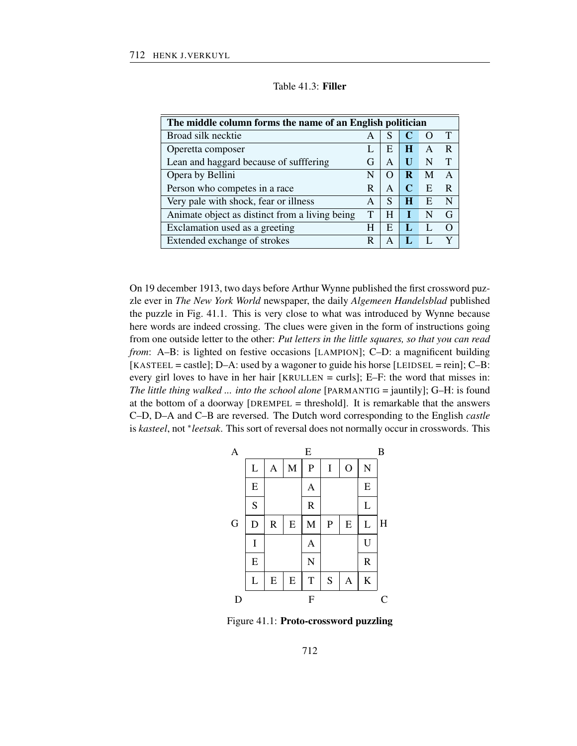| The middle column forms the name of an English politician |   |                  |   |   |              |  |  |
|-----------------------------------------------------------|---|------------------|---|---|--------------|--|--|
| Broad silk necktie                                        | A | S                |   |   | Т            |  |  |
| Operetta composer                                         | L | E                | H | A | R            |  |  |
| Lean and haggard because of sufffering                    | G | A                | U | N | T            |  |  |
| Opera by Bellini                                          | N | $\left( \right)$ | R | М | $\mathsf{A}$ |  |  |
| Person who competes in a race                             | R | A                | C | E | R            |  |  |
| Very pale with shock, fear or illness                     | A | S                | H | E | N            |  |  |
| Animate object as distinct from a living being            | т | H                | I | N | G            |  |  |
| Exclamation used as a greeting                            | H | E                | L |   |              |  |  |
| Extended exchange of strokes                              | R | А                | L |   |              |  |  |

On 19 december 1913, two days before Arthur Wynne published the first crossword puzzle ever in *The New York World* newspaper, the daily *Algemeen Handelsblad* published the puzzle in Fig. 41.1. This is very close to what was introduced by Wynne because here words are indeed crossing. The clues were given in the form of instructions going from one outside letter to the other: *Put letters in the little squares, so that you can read from*: A–B: is lighted on festive occasions [LAMPION]; C–D: a magnificent building  $[KASTEEL = castle]; D-A: used by a wagoner to guide his horse [LEIDSEL = rein]; C-B:$ every girl loves to have in her hair [KRULLEN = curls]; E–F: the word that misses in: *The little thing walked ... into the school alone* [PARMANTIG = jauntily]; G–H: is found at the bottom of a doorway [DREMPEL = threshold]. It is remarkable that the answers C–D, D–A and C–B are reversed. The Dutch word corresponding to the English *castle* is *kasteel*, not <sup>∗</sup> *leetsak*. This sort of reversal does not normally occur in crosswords. This

| А |           |           |             | E            |             |                |                | B |
|---|-----------|-----------|-------------|--------------|-------------|----------------|----------------|---|
|   | L         | A         | $\mathbf M$ | ${\bf P}$    | I           | $\overline{O}$ | $\overline{N}$ |   |
|   | E         |           |             | $\mathbf{A}$ |             |                | E              |   |
|   | S         |           |             | $\mathbf R$  |             |                | L              |   |
| G | D         | ${\bf R}$ | ${\bf E}$   | $\mathbf{M}$ | $\mathbf P$ | E              | L              | H |
|   | $\bf I$   |           |             | $\mathbf{A}$ |             |                | U              |   |
|   | ${\bf E}$ |           |             | N            |             |                | $\mathbb{R}$   |   |
|   | L         | ${\bf E}$ | ${\bf E}$   | T            | ${\bf S}$   | A              | $\rm K$        |   |
| D |           |           |             | F            |             |                |                | С |

Figure 41.1: Proto-crossword puzzling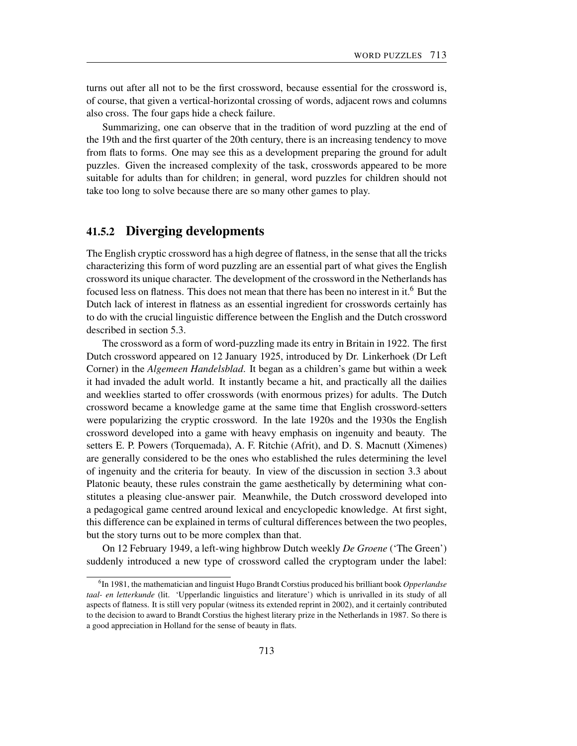turns out after all not to be the first crossword, because essential for the crossword is, of course, that given a vertical-horizontal crossing of words, adjacent rows and columns also cross. The four gaps hide a check failure.

Summarizing, one can observe that in the tradition of word puzzling at the end of the 19th and the first quarter of the 20th century, there is an increasing tendency to move from flats to forms. One may see this as a development preparing the ground for adult puzzles. Given the increased complexity of the task, crosswords appeared to be more suitable for adults than for children; in general, word puzzles for children should not take too long to solve because there are so many other games to play.

### 41.5.2 Diverging developments

The English cryptic crossword has a high degree of flatness, in the sense that all the tricks characterizing this form of word puzzling are an essential part of what gives the English crossword its unique character. The development of the crossword in the Netherlands has focused less on flatness. This does not mean that there has been no interest in it.<sup>6</sup> But the Dutch lack of interest in flatness as an essential ingredient for crosswords certainly has to do with the crucial linguistic difference between the English and the Dutch crossword described in section 5.3.

The crossword as a form of word-puzzling made its entry in Britain in 1922. The first Dutch crossword appeared on 12 January 1925, introduced by Dr. Linkerhoek (Dr Left Corner) in the *Algemeen Handelsblad*. It began as a children's game but within a week it had invaded the adult world. It instantly became a hit, and practically all the dailies and weeklies started to offer crosswords (with enormous prizes) for adults. The Dutch crossword became a knowledge game at the same time that English crossword-setters were popularizing the cryptic crossword. In the late 1920s and the 1930s the English crossword developed into a game with heavy emphasis on ingenuity and beauty. The setters E. P. Powers (Torquemada), A. F. Ritchie (Afrit), and D. S. Macnutt (Ximenes) are generally considered to be the ones who established the rules determining the level of ingenuity and the criteria for beauty. In view of the discussion in section 3.3 about Platonic beauty, these rules constrain the game aesthetically by determining what constitutes a pleasing clue-answer pair. Meanwhile, the Dutch crossword developed into a pedagogical game centred around lexical and encyclopedic knowledge. At first sight, this difference can be explained in terms of cultural differences between the two peoples, but the story turns out to be more complex than that.

On 12 February 1949, a left-wing highbrow Dutch weekly *De Groene* ('The Green') suddenly introduced a new type of crossword called the cryptogram under the label:

<sup>6</sup> In 1981, the mathematician and linguist Hugo Brandt Corstius produced his brilliant book *Opperlandse taal- en letterkunde* (lit. 'Upperlandic linguistics and literature') which is unrivalled in its study of all aspects of flatness. It is still very popular (witness its extended reprint in 2002), and it certainly contributed to the decision to award to Brandt Corstius the highest literary prize in the Netherlands in 1987. So there is a good appreciation in Holland for the sense of beauty in flats.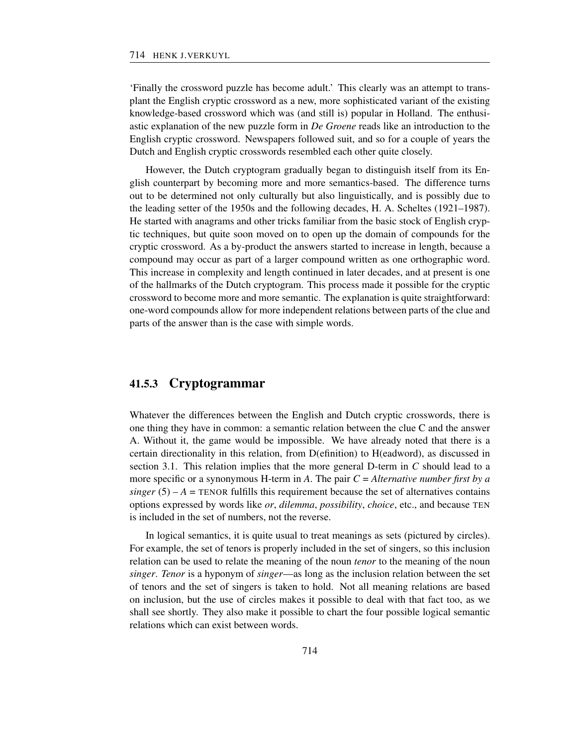'Finally the crossword puzzle has become adult.' This clearly was an attempt to transplant the English cryptic crossword as a new, more sophisticated variant of the existing knowledge-based crossword which was (and still is) popular in Holland. The enthusiastic explanation of the new puzzle form in *De Groene* reads like an introduction to the English cryptic crossword. Newspapers followed suit, and so for a couple of years the Dutch and English cryptic crosswords resembled each other quite closely.

However, the Dutch cryptogram gradually began to distinguish itself from its English counterpart by becoming more and more semantics-based. The difference turns out to be determined not only culturally but also linguistically, and is possibly due to the leading setter of the 1950s and the following decades, H. A. Scheltes (1921–1987). He started with anagrams and other tricks familiar from the basic stock of English cryptic techniques, but quite soon moved on to open up the domain of compounds for the cryptic crossword. As a by-product the answers started to increase in length, because a compound may occur as part of a larger compound written as one orthographic word. This increase in complexity and length continued in later decades, and at present is one of the hallmarks of the Dutch cryptogram. This process made it possible for the cryptic crossword to become more and more semantic. The explanation is quite straightforward: one-word compounds allow for more independent relations between parts of the clue and parts of the answer than is the case with simple words.

#### 41.5.3 Cryptogrammar

Whatever the differences between the English and Dutch cryptic crosswords, there is one thing they have in common: a semantic relation between the clue C and the answer A. Without it, the game would be impossible. We have already noted that there is a certain directionality in this relation, from D(efinition) to H(eadword), as discussed in section 3.1. This relation implies that the more general D-term in *C* should lead to a more specific or a synonymous H-term in *A*. The pair *C* = *Alternative number first by a singer* (5) –  $A$  = TENOR fulfills this requirement because the set of alternatives contains options expressed by words like *or*, *dilemma*, *possibility*, *choice*, etc., and because TEN is included in the set of numbers, not the reverse.

In logical semantics, it is quite usual to treat meanings as sets (pictured by circles). For example, the set of tenors is properly included in the set of singers, so this inclusion relation can be used to relate the meaning of the noun *tenor* to the meaning of the noun *singer*. *Tenor* is a hyponym of *singer*—as long as the inclusion relation between the set of tenors and the set of singers is taken to hold. Not all meaning relations are based on inclusion, but the use of circles makes it possible to deal with that fact too, as we shall see shortly. They also make it possible to chart the four possible logical semantic relations which can exist between words.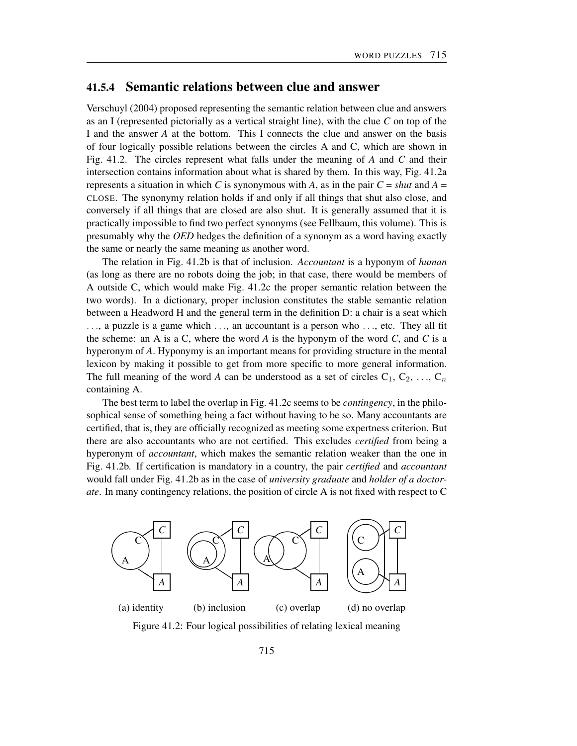### 41.5.4 Semantic relations between clue and answer

Verschuyl (2004) proposed representing the semantic relation between clue and answers as an I (represented pictorially as a vertical straight line), with the clue *C* on top of the I and the answer *A* at the bottom. This I connects the clue and answer on the basis of four logically possible relations between the circles A and C, which are shown in Fig. 41.2. The circles represent what falls under the meaning of *A* and *C* and their intersection contains information about what is shared by them. In this way, Fig. 41.2a represents a situation in which *C* is synonymous with *A*, as in the pair  $C =$  *shut* and  $A =$ CLOSE. The synonymy relation holds if and only if all things that shut also close, and conversely if all things that are closed are also shut. It is generally assumed that it is practically impossible to find two perfect synonyms (see Fellbaum, this volume). This is presumably why the *OED* hedges the definition of a synonym as a word having exactly the same or nearly the same meaning as another word.

The relation in Fig. 41.2b is that of inclusion. *Accountant* is a hyponym of *human* (as long as there are no robots doing the job; in that case, there would be members of A outside C, which would make Fig. 41.2c the proper semantic relation between the two words). In a dictionary, proper inclusion constitutes the stable semantic relation between a Headword H and the general term in the definition D: a chair is a seat which . . ., a puzzle is a game which . . ., an accountant is a person who . . ., etc. They all fit the scheme: an A is a C, where the word *A* is the hyponym of the word *C*, and *C* is a hyperonym of *A*. Hyponymy is an important means for providing structure in the mental lexicon by making it possible to get from more specific to more general information. The full meaning of the word *A* can be understood as a set of circles  $C_1, C_2, \ldots, C_n$ containing A.

The best term to label the overlap in Fig. 41.2c seems to be *contingency*, in the philosophical sense of something being a fact without having to be so. Many accountants are certified, that is, they are officially recognized as meeting some expertness criterion. But there are also accountants who are not certified. This excludes *certified* from being a hyperonym of *accountant*, which makes the semantic relation weaker than the one in Fig. 41.2b. If certification is mandatory in a country, the pair *certified* and *accountant* would fall under Fig. 41.2b as in the case of *university graduate* and *holder of a doctorate*. In many contingency relations, the position of circle A is not fixed with respect to C

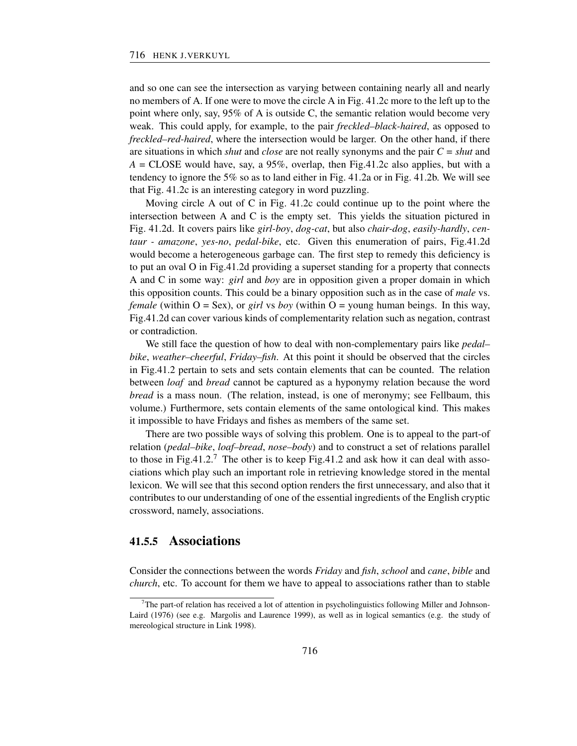and so one can see the intersection as varying between containing nearly all and nearly no members of A. If one were to move the circle A in Fig. 41.2c more to the left up to the point where only, say, 95% of A is outside C, the semantic relation would become very weak. This could apply, for example, to the pair *freckled–black-haired*, as opposed to *freckled–red-haired*, where the intersection would be larger. On the other hand, if there are situations in which *shut* and *close* are not really synonyms and the pair *C = shut* and  $A = CLOSE$  would have, say, a 95%, overlap, then Fig.41.2c also applies, but with a tendency to ignore the 5% so as to land either in Fig. 41.2a or in Fig. 41.2b. We will see that Fig. 41.2c is an interesting category in word puzzling.

Moving circle A out of C in Fig. 41.2c could continue up to the point where the intersection between A and C is the empty set. This yields the situation pictured in Fig. 41.2d. It covers pairs like *girl-boy*, *dog-cat*, but also *chair-dog*, *easily-hardly*, *centaur - amazone*, *yes-no*, *pedal-bike*, etc. Given this enumeration of pairs, Fig.41.2d would become a heterogeneous garbage can. The first step to remedy this deficiency is to put an oval O in Fig.41.2d providing a superset standing for a property that connects A and C in some way: *girl* and *boy* are in opposition given a proper domain in which this opposition counts. This could be a binary opposition such as in the case of *male* vs. *female* (within  $O = Sex$ ), or *girl* vs *boy* (within  $O = young$  human beings. In this way, Fig.41.2d can cover various kinds of complementarity relation such as negation, contrast or contradiction.

We still face the question of how to deal with non-complementary pairs like *pedal– bike*, *weather–cheerful*, *Friday–fish*. At this point it should be observed that the circles in Fig.41.2 pertain to sets and sets contain elements that can be counted. The relation between *loaf* and *bread* cannot be captured as a hyponymy relation because the word *bread* is a mass noun. (The relation, instead, is one of meronymy; see Fellbaum, this volume.) Furthermore, sets contain elements of the same ontological kind. This makes it impossible to have Fridays and fishes as members of the same set.

There are two possible ways of solving this problem. One is to appeal to the part-of relation (*pedal–bike*, *loaf–bread*, *nose–body*) and to construct a set of relations parallel to those in Fig.41.2.<sup>7</sup> The other is to keep Fig.41.2 and ask how it can deal with associations which play such an important role in retrieving knowledge stored in the mental lexicon. We will see that this second option renders the first unnecessary, and also that it contributes to our understanding of one of the essential ingredients of the English cryptic crossword, namely, associations.

### 41.5.5 Associations

Consider the connections between the words *Friday* and *fish*, *school* and *cane*, *bible* and *church*, etc. To account for them we have to appeal to associations rather than to stable

The part-of relation has received a lot of attention in psycholinguistics following Miller and Johnson-Laird (1976) (see e.g. Margolis and Laurence 1999), as well as in logical semantics (e.g. the study of mereological structure in Link 1998).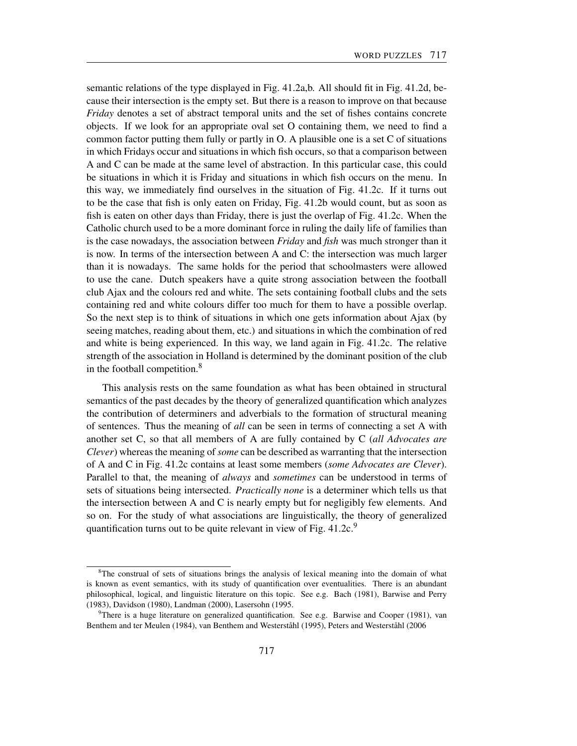semantic relations of the type displayed in Fig. 41.2a,b. All should fit in Fig. 41.2d, because their intersection is the empty set. But there is a reason to improve on that because *Friday* denotes a set of abstract temporal units and the set of fishes contains concrete objects. If we look for an appropriate oval set O containing them, we need to find a common factor putting them fully or partly in O. A plausible one is a set C of situations in which Fridays occur and situations in which fish occurs, so that a comparison between A and C can be made at the same level of abstraction. In this particular case, this could be situations in which it is Friday and situations in which fish occurs on the menu. In this way, we immediately find ourselves in the situation of Fig. 41.2c. If it turns out to be the case that fish is only eaten on Friday, Fig. 41.2b would count, but as soon as fish is eaten on other days than Friday, there is just the overlap of Fig. 41.2c. When the Catholic church used to be a more dominant force in ruling the daily life of families than is the case nowadays, the association between *Friday* and *fish* was much stronger than it is now. In terms of the intersection between A and C: the intersection was much larger than it is nowadays. The same holds for the period that schoolmasters were allowed to use the cane. Dutch speakers have a quite strong association between the football club Ajax and the colours red and white. The sets containing football clubs and the sets containing red and white colours differ too much for them to have a possible overlap. So the next step is to think of situations in which one gets information about Ajax (by seeing matches, reading about them, etc.) and situations in which the combination of red and white is being experienced. In this way, we land again in Fig. 41.2c. The relative strength of the association in Holland is determined by the dominant position of the club in the football competition.<sup>8</sup>

This analysis rests on the same foundation as what has been obtained in structural semantics of the past decades by the theory of generalized quantification which analyzes the contribution of determiners and adverbials to the formation of structural meaning of sentences. Thus the meaning of *all* can be seen in terms of connecting a set A with another set C, so that all members of A are fully contained by C (*all Advocates are Clever*) whereas the meaning of*some* can be described as warranting that the intersection of A and C in Fig. 41.2c contains at least some members (*some Advocates are Clever*). Parallel to that, the meaning of *always* and *sometimes* can be understood in terms of sets of situations being intersected. *Practically none* is a determiner which tells us that the intersection between A and C is nearly empty but for negligibly few elements. And so on. For the study of what associations are linguistically, the theory of generalized quantification turns out to be quite relevant in view of Fig. 41.2c.<sup>9</sup>

<sup>&</sup>lt;sup>8</sup>The construal of sets of situations brings the analysis of lexical meaning into the domain of what is known as event semantics, with its study of quantification over eventualities. There is an abundant philosophical, logical, and linguistic literature on this topic. See e.g. Bach (1981), Barwise and Perry (1983), Davidson (1980), Landman (2000), Lasersohn (1995.

 $9^9$ There is a huge literature on generalized quantification. See e.g. Barwise and Cooper (1981), van Benthem and ter Meulen (1984), van Benthem and Westerståhl (1995), Peters and Westerståhl (2006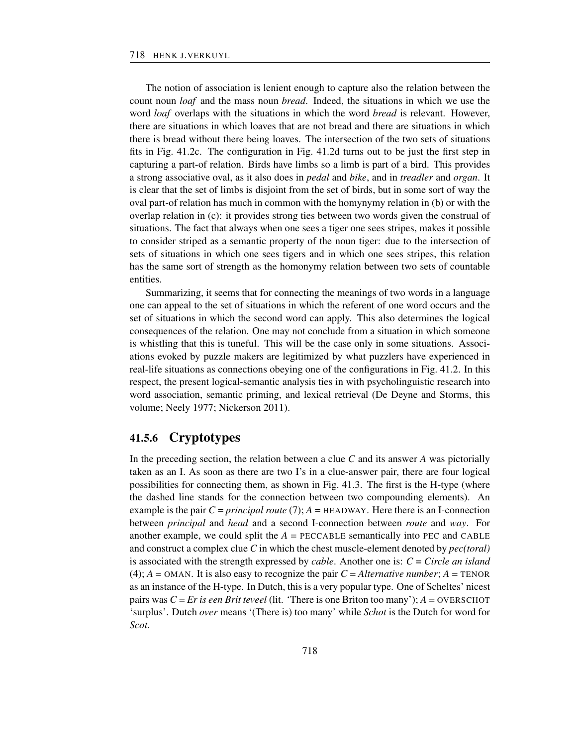The notion of association is lenient enough to capture also the relation between the count noun *loaf* and the mass noun *bread*. Indeed, the situations in which we use the word *loaf* overlaps with the situations in which the word *bread* is relevant. However, there are situations in which loaves that are not bread and there are situations in which there is bread without there being loaves. The intersection of the two sets of situations fits in Fig. 41.2c. The configuration in Fig. 41.2d turns out to be just the first step in capturing a part-of relation. Birds have limbs so a limb is part of a bird. This provides a strong associative oval, as it also does in *pedal* and *bike*, and in *treadler* and *organ*. It is clear that the set of limbs is disjoint from the set of birds, but in some sort of way the oval part-of relation has much in common with the homynymy relation in (b) or with the overlap relation in (c): it provides strong ties between two words given the construal of situations. The fact that always when one sees a tiger one sees stripes, makes it possible to consider striped as a semantic property of the noun tiger: due to the intersection of sets of situations in which one sees tigers and in which one sees stripes, this relation has the same sort of strength as the homonymy relation between two sets of countable entities.

Summarizing, it seems that for connecting the meanings of two words in a language one can appeal to the set of situations in which the referent of one word occurs and the set of situations in which the second word can apply. This also determines the logical consequences of the relation. One may not conclude from a situation in which someone is whistling that this is tuneful. This will be the case only in some situations. Associations evoked by puzzle makers are legitimized by what puzzlers have experienced in real-life situations as connections obeying one of the configurations in Fig. 41.2. In this respect, the present logical-semantic analysis ties in with psycholinguistic research into word association, semantic priming, and lexical retrieval (De Deyne and Storms, this volume; Neely 1977; Nickerson 2011).

### 41.5.6 Cryptotypes

In the preceding section, the relation between a clue *C* and its answer *A* was pictorially taken as an I. As soon as there are two I's in a clue-answer pair, there are four logical possibilities for connecting them, as shown in Fig. 41.3. The first is the H-type (where the dashed line stands for the connection between two compounding elements). An example is the pair  $C = principal route (7)$ ;  $A = HEADWAY$ . Here there is an I-connection between *principal* and *head* and a second I-connection between *route* and *way*. For another example, we could split the  $A = \text{PECABLE semantically into PEC and CABLE}$ and construct a complex clue *C* in which the chest muscle-element denoted by *pec(toral)* is associated with the strength expressed by *cable*. Another one is: *C* = *Circle an island* (4);  $A = OMAN$ . It is also easy to recognize the pair  $C = Alternative$  *number*;  $A = TENOR$ as an instance of the H-type. In Dutch, this is a very popular type. One of Scheltes' nicest pairs was *C* = *Er is een Brit teveel* (lit. 'There is one Briton too many'); *A* = OVERSCHOT 'surplus'. Dutch *over* means '(There is) too many' while *Schot* is the Dutch for word for *Scot*.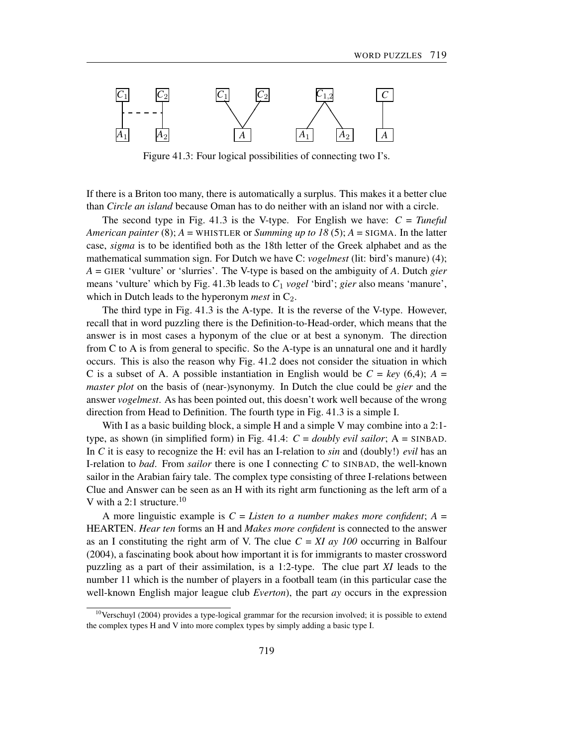

Figure 41.3: Four logical possibilities of connecting two I's.

If there is a Briton too many, there is automatically a surplus. This makes it a better clue than *Circle an island* because Oman has to do neither with an island nor with a circle.

The second type in Fig. 41.3 is the V-type. For English we have: *C* = *Tuneful American painter* (8);  $A =$  WHISTLER or *Summing up to 18* (5);  $A =$  SIGMA. In the latter case, *sigma* is to be identified both as the 18th letter of the Greek alphabet and as the mathematical summation sign. For Dutch we have C: *vogelmest* (lit: bird's manure) (4); *A* = GIER 'vulture' or 'slurries'. The V-type is based on the ambiguity of *A*. Dutch *gier* means 'vulture' which by Fig. 41.3b leads to  $C_1$  *vogel* 'bird'; *gier* also means 'manure', which in Dutch leads to the hyperonym *mest* in  $C_2$ .

The third type in Fig. 41.3 is the A-type. It is the reverse of the V-type. However, recall that in word puzzling there is the Definition-to-Head-order, which means that the answer is in most cases a hyponym of the clue or at best a synonym. The direction from C to A is from general to specific. So the A-type is an unnatural one and it hardly occurs. This is also the reason why Fig. 41.2 does not consider the situation in which C is a subset of A. A possible instantiation in English would be  $C = key (6,4); A =$ *master plot* on the basis of (near-)synonymy. In Dutch the clue could be *gier* and the answer *vogelmest*. As has been pointed out, this doesn't work well because of the wrong direction from Head to Definition. The fourth type in Fig. 41.3 is a simple I.

With I as a basic building block, a simple H and a simple V may combine into a 2:1type, as shown (in simplified form) in Fig. 41.4:  $C =$  *doubly evil sailor*; A = SINBAD. In *C* it is easy to recognize the H: evil has an I-relation to *sin* and (doubly!) *evil* has an I-relation to *bad*. From *sailor* there is one I connecting *C* to SINBAD, the well-known sailor in the Arabian fairy tale. The complex type consisting of three I-relations between Clue and Answer can be seen as an H with its right arm functioning as the left arm of a V with a 2:1 structure.<sup>10</sup>

A more linguistic example is  $C =$  *Listen to a number makes more confident*;  $A =$ HEARTEN. *Hear ten* forms an H and *Makes more confident* is connected to the answer as an I constituting the right arm of V. The clue  $C = XI$  *ay 100* occurring in Balfour (2004), a fascinating book about how important it is for immigrants to master crossword puzzling as a part of their assimilation, is a 1:2-type. The clue part *XI* leads to the number 11 which is the number of players in a football team (in this particular case the well-known English major league club *Everton*), the part *ay* occurs in the expression

 $10$ Verschuyl (2004) provides a type-logical grammar for the recursion involved; it is possible to extend the complex types H and V into more complex types by simply adding a basic type I.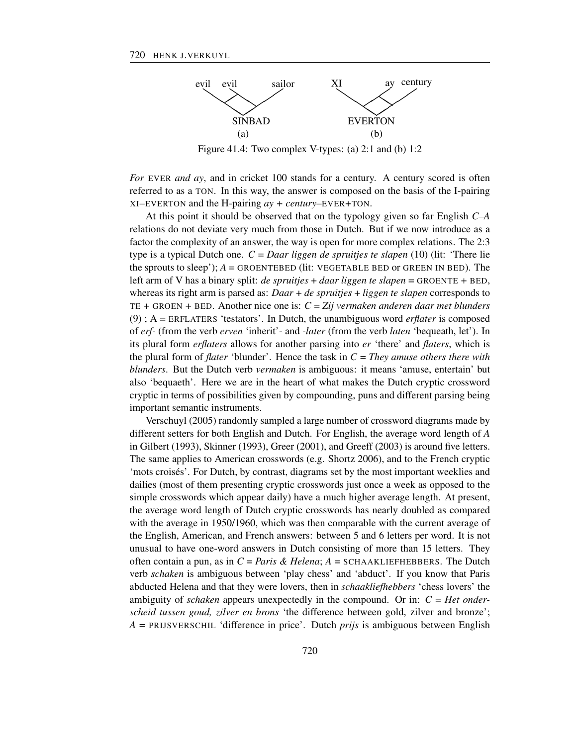

Figure 41.4: Two complex V-types: (a) 2:1 and (b) 1:2

*For* EVER *and ay*, and in cricket 100 stands for a century. A century scored is often referred to as a TON. In this way, the answer is composed on the basis of the I-pairing XI–EVERTON and the H-pairing *ay + century*–EVER+TON.

At this point it should be observed that on the typology given so far English *C–A* relations do not deviate very much from those in Dutch. But if we now introduce as a factor the complexity of an answer, the way is open for more complex relations. The 2:3 type is a typical Dutch one. *C* = *Daar liggen de spruitjes te slapen* (10) (lit: 'There lie the sprouts to sleep'); *A* = GROENTEBED (lit: VEGETABLE BED or GREEN IN BED). The left arm of V has a binary split: *de spruitjes* + *daar liggen te slapen* = GROENTE + BED, whereas its right arm is parsed as: *Daar* + *de spruitjes* + *liggen te slapen* corresponds to TE + GROEN + BED. Another nice one is: *C* = *Zij vermaken anderen daar met blunders* (9) ; A = ERFLATERS 'testators'. In Dutch, the unambiguous word *erflater* is composed of *erf-* (from the verb *erven* 'inherit'- and *-later* (from the verb *laten* 'bequeath, let'). In its plural form *erflaters* allows for another parsing into *er* 'there' and *flaters*, which is the plural form of *flater* 'blunder'. Hence the task in *C* = *They amuse others there with blunders*. But the Dutch verb *vermaken* is ambiguous: it means 'amuse, entertain' but also 'bequaeth'. Here we are in the heart of what makes the Dutch cryptic crossword cryptic in terms of possibilities given by compounding, puns and different parsing being important semantic instruments.

Verschuyl (2005) randomly sampled a large number of crossword diagrams made by different setters for both English and Dutch. For English, the average word length of *A* in Gilbert (1993), Skinner (1993), Greer (2001), and Greeff (2003) is around five letters. The same applies to American crosswords (e.g. Shortz 2006), and to the French cryptic 'mots croisés'. For Dutch, by contrast, diagrams set by the most important weeklies and dailies (most of them presenting cryptic crosswords just once a week as opposed to the simple crosswords which appear daily) have a much higher average length. At present, the average word length of Dutch cryptic crosswords has nearly doubled as compared with the average in 1950/1960, which was then comparable with the current average of the English, American, and French answers: between 5 and 6 letters per word. It is not unusual to have one-word answers in Dutch consisting of more than 15 letters. They often contain a pun, as in *C* = *Paris & Helena*; *A* = SCHAAKLIEFHEBBERS. The Dutch verb *schaken* is ambiguous between 'play chess' and 'abduct'. If you know that Paris abducted Helena and that they were lovers, then in *schaakliefhebbers* 'chess lovers' the ambiguity of *schaken* appears unexpectedly in the compound. Or in: *C* = *Het onderscheid tussen goud, zilver en brons* 'the difference between gold, zilver and bronze'; *A* = PRIJSVERSCHIL 'difference in price'. Dutch *prijs* is ambiguous between English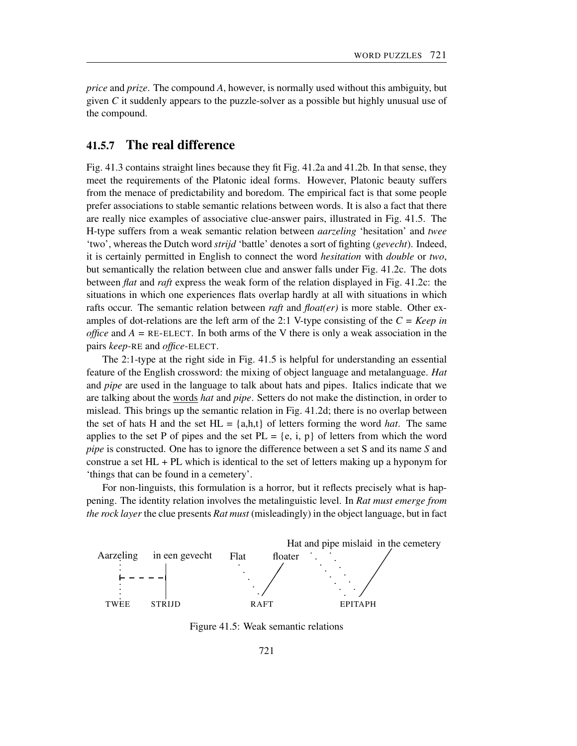*price* and *prize*. The compound *A*, however, is normally used without this ambiguity, but given *C* it suddenly appears to the puzzle-solver as a possible but highly unusual use of the compound.

### 41.5.7 The real difference

Fig. 41.3 contains straight lines because they fit Fig. 41.2a and 41.2b. In that sense, they meet the requirements of the Platonic ideal forms. However, Platonic beauty suffers from the menace of predictability and boredom. The empirical fact is that some people prefer associations to stable semantic relations between words. It is also a fact that there are really nice examples of associative clue-answer pairs, illustrated in Fig. 41.5. The H-type suffers from a weak semantic relation between *aarzeling* 'hesitation' and *twee* 'two', whereas the Dutch word *strijd* 'battle' denotes a sort of fighting (*gevecht*). Indeed, it is certainly permitted in English to connect the word *hesitation* with *double* or *two*, but semantically the relation between clue and answer falls under Fig. 41.2c. The dots between *flat* and *raft* express the weak form of the relation displayed in Fig. 41.2c: the situations in which one experiences flats overlap hardly at all with situations in which rafts occur. The semantic relation between *raft* and *float(er)* is more stable. Other examples of dot-relations are the left arm of the 2:1 V-type consisting of the *C = Keep in office* and *A =* RE-ELECT. In both arms of the V there is only a weak association in the pairs *keep-*RE and *office-*ELECT.

The 2:1-type at the right side in Fig. 41.5 is helpful for understanding an essential feature of the English crossword: the mixing of object language and metalanguage. *Hat* and *pipe* are used in the language to talk about hats and pipes. Italics indicate that we are talking about the words *hat* and *pipe*. Setters do not make the distinction, in order to mislead. This brings up the semantic relation in Fig. 41.2d; there is no overlap between the set of hats H and the set  $HL = \{a, h, t\}$  of letters forming the word *hat*. The same applies to the set P of pipes and the set PL = {e, i, p} of letters from which the word *pipe* is constructed. One has to ignore the difference between a set S and its name *S* and construe a set  $HL + PL$  which is identical to the set of letters making up a hyponym for 'things that can be found in a cemetery'.

For non-linguists, this formulation is a horror, but it reflects precisely what is happening. The identity relation involves the metalinguistic level. In *Rat must emerge from the rock layer* the clue presents *Rat must* (misleadingly) in the object language, but in fact



Figure 41.5: Weak semantic relations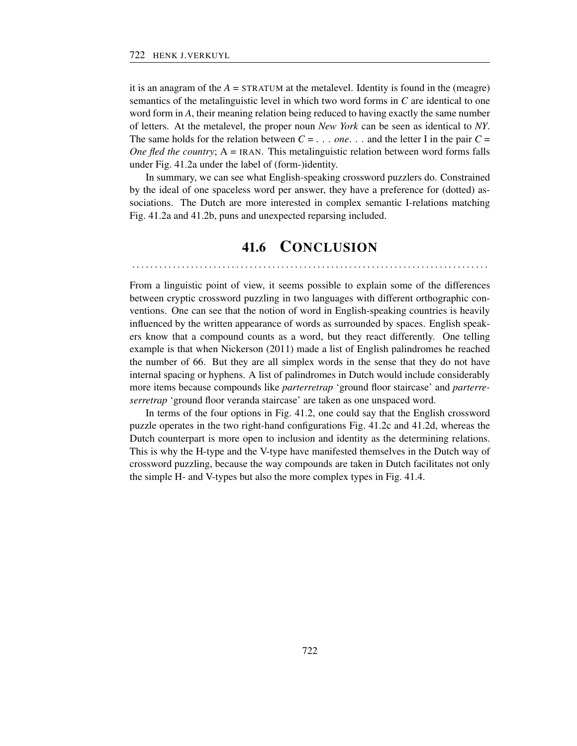it is an anagram of the  $A = \text{STRATUM}$  at the metalevel. Identity is found in the (meagre) semantics of the metalinguistic level in which two word forms in *C* are identical to one word form in *A*, their meaning relation being reduced to having exactly the same number of letters. At the metalevel, the proper noun *New York* can be seen as identical to *NY*. The same holds for the relation between  $C = \ldots$  *one*... and the letter I in the pair  $C =$ *One fled the country*; A = IRAN. This metalinguistic relation between word forms falls under Fig. 41.2a under the label of (form-)identity.

In summary, we can see what English-speaking crossword puzzlers do. Constrained by the ideal of one spaceless word per answer, they have a preference for (dotted) associations. The Dutch are more interested in complex semantic I-relations matching Fig. 41.2a and 41.2b, puns and unexpected reparsing included.

### 41.6 CONCLUSION . . . . . . . . . . . . . . . . . . . . . . . . . . . . . . . . . . . . . . . . . . . . . . . . . . . . . . . . . . . . . . . . . . . . . . . . . . . . . . .

From a linguistic point of view, it seems possible to explain some of the differences between cryptic crossword puzzling in two languages with different orthographic conventions. One can see that the notion of word in English-speaking countries is heavily influenced by the written appearance of words as surrounded by spaces. English speakers know that a compound counts as a word, but they react differently. One telling example is that when Nickerson (2011) made a list of English palindromes he reached the number of 66. But they are all simplex words in the sense that they do not have internal spacing or hyphens. A list of palindromes in Dutch would include considerably more items because compounds like *parterretrap* 'ground floor staircase' and *parterreserretrap* 'ground floor veranda staircase' are taken as one unspaced word.

In terms of the four options in Fig. 41.2, one could say that the English crossword puzzle operates in the two right-hand configurations Fig. 41.2c and 41.2d, whereas the Dutch counterpart is more open to inclusion and identity as the determining relations. This is why the H-type and the V-type have manifested themselves in the Dutch way of crossword puzzling, because the way compounds are taken in Dutch facilitates not only the simple H- and V-types but also the more complex types in Fig. 41.4.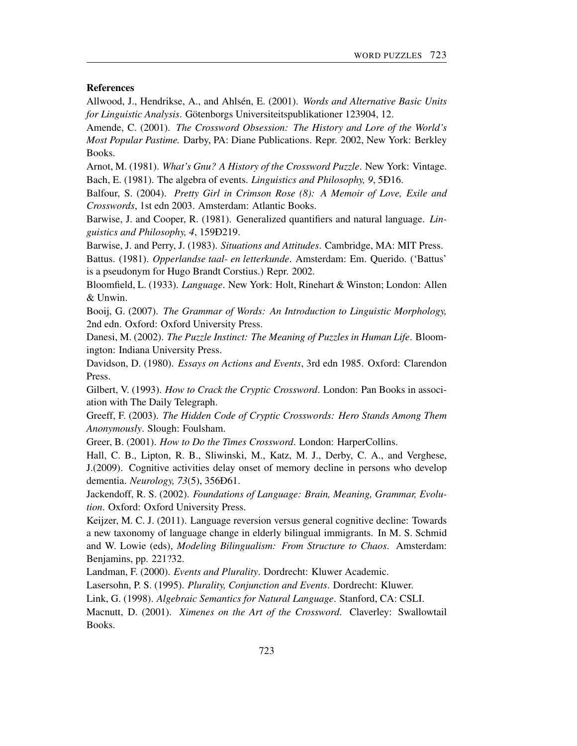#### References

Allwood, J., Hendrikse, A., and Ahlsén, E. (2001). *Words and Alternative Basic Units for Linguistic Analysis*. Götenborgs Universiteitspublikationer 123904, 12.

Amende, C. (2001). *The Crossword Obsession: The History and Lore of the World's Most Popular Pastime.* Darby, PA: Diane Publications. Repr. 2002, New York: Berkley Books.

Arnot, M. (1981). *What's Gnu? A History of the Crossword Puzzle*. New York: Vintage. Bach, E. (1981). The algebra of events. *Linguistics and Philosophy, 9*, 5Ð16.

Balfour, S. (2004). *Pretty Girl in Crimson Rose (8): A Memoir of Love, Exile and Crosswords*, 1st edn 2003. Amsterdam: Atlantic Books.

Barwise, J. and Cooper, R. (1981). Generalized quantifiers and natural language. *Linguistics and Philosophy, 4*, 159Ð219.

Barwise, J. and Perry, J. (1983). *Situations and Attitudes*. Cambridge, MA: MIT Press.

Battus. (1981). *Opperlandse taal- en letterkunde*. Amsterdam: Em. Querido. ('Battus' is a pseudonym for Hugo Brandt Corstius.) Repr. 2002.

Bloomfield, L. (1933). *Language*. New York: Holt, Rinehart & Winston; London: Allen & Unwin.

Booij, G. (2007). *The Grammar of Words: An Introduction to Linguistic Morphology,* 2nd edn. Oxford: Oxford University Press.

Danesi, M. (2002). *The Puzzle Instinct: The Meaning of Puzzles in Human Life*. Bloomington: Indiana University Press.

Davidson, D. (1980). *Essays on Actions and Events*, 3rd edn 1985. Oxford: Clarendon Press.

Gilbert, V. (1993). *How to Crack the Cryptic Crossword*. London: Pan Books in association with The Daily Telegraph.

Greeff, F. (2003). *The Hidden Code of Cryptic Crosswords: Hero Stands Among Them Anonymously*. Slough: Foulsham.

Greer, B. (2001). *How to Do the Times Crossword*. London: HarperCollins.

Hall, C. B., Lipton, R. B., Sliwinski, M., Katz, M. J., Derby, C. A., and Verghese, J.(2009). Cognitive activities delay onset of memory decline in persons who develop dementia. *Neurology, 73*(5), 356Ð61.

Jackendoff, R. S. (2002). *Foundations of Language: Brain, Meaning, Grammar, Evolution*. Oxford: Oxford University Press.

Keijzer, M. C. J. (2011). Language reversion versus general cognitive decline: Towards a new taxonomy of language change in elderly bilingual immigrants. In M. S. Schmid and W. Lowie (eds), *Modeling Bilingualism: From Structure to Chaos*. Amsterdam: Benjamins, pp. 221?32.

Landman, F. (2000). *Events and Plurality*. Dordrecht: Kluwer Academic.

Lasersohn, P. S. (1995). *Plurality, Conjunction and Events*. Dordrecht: Kluwer.

Link, G. (1998). *Algebraic Semantics for Natural Language*. Stanford, CA: CSLI.

Macnutt, D. (2001). *Ximenes on the Art of the Crossword*. Claverley: Swallowtail Books.